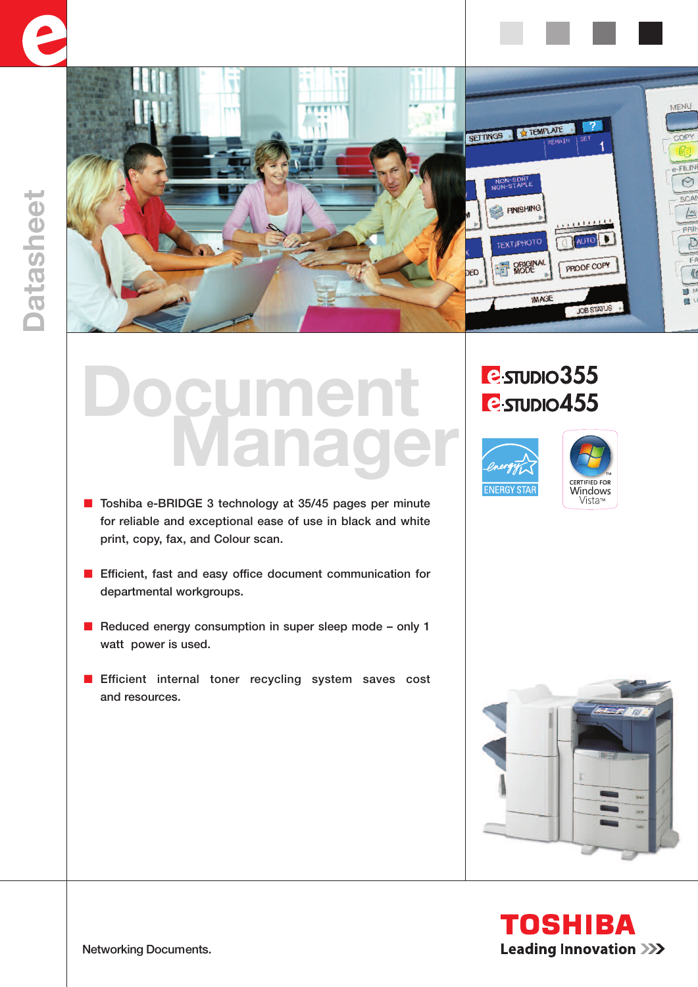



## **Document Manager**

- Toshiba e-BRIDGE 3 technology at 35/45 pages per minute for reliable and exceptional ease of use in black and white print, copy, fax, and Colour scan.
- Efficient, fast and easy office document communication for departmental workgroups.
- Reduced energy consumption in super sleep mode only 1 watt power is used.
- **■** Efficient internal toner recycling system saves cost and resources.

## **P**sTUDIO355 **P**sTUDIO455







**TOSHIBA Leading Innovation >>>** 

Networking Documents.